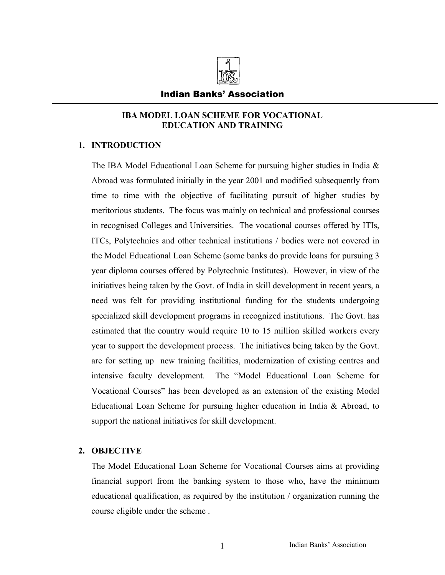

### Indian Banks' Association

## **IBA MODEL LOAN SCHEME FOR VOCATIONAL EDUCATION AND TRAINING**

## **1. INTRODUCTION**

The IBA Model Educational Loan Scheme for pursuing higher studies in India & Abroad was formulated initially in the year 2001 and modified subsequently from time to time with the objective of facilitating pursuit of higher studies by meritorious students. The focus was mainly on technical and professional courses in recognised Colleges and Universities. The vocational courses offered by ITIs, ITCs, Polytechnics and other technical institutions / bodies were not covered in the Model Educational Loan Scheme (some banks do provide loans for pursuing 3 year diploma courses offered by Polytechnic Institutes). However, in view of the initiatives being taken by the Govt. of India in skill development in recent years, a need was felt for providing institutional funding for the students undergoing specialized skill development programs in recognized institutions. The Govt. has estimated that the country would require 10 to 15 million skilled workers every year to support the development process. The initiatives being taken by the Govt. are for setting up new training facilities, modernization of existing centres and intensive faculty development. The "Model Educational Loan Scheme for Vocational Courses" has been developed as an extension of the existing Model Educational Loan Scheme for pursuing higher education in India & Abroad, to support the national initiatives for skill development.

## **2. OBJECTIVE**

The Model Educational Loan Scheme for Vocational Courses aims at providing financial support from the banking system to those who, have the minimum educational qualification, as required by the institution / organization running the course eligible under the scheme .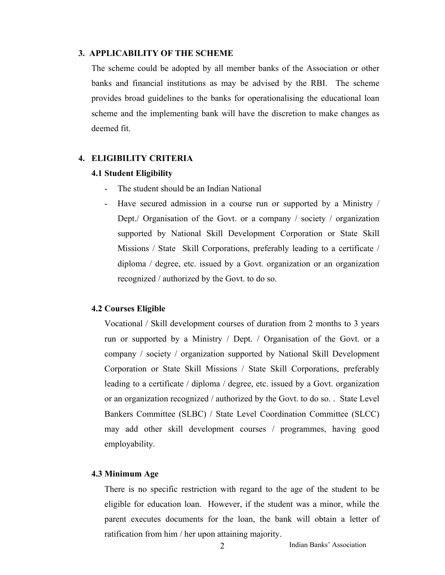## **3. APPLICABILITY OF THE SCHEME**

 The scheme could be adopted by all member banks of the Association or other banks and financial institutions as may be advised by the RBI. The scheme provides broad guidelines to the banks for operationalising the educational loan scheme and the implementing bank will have the discretion to make changes as deemed fit.

#### **4. ELIGIBILITY CRITERIA**

#### **4.1 Student Eligibility**

- The student should be an Indian National
- Have secured admission in a course run or supported by a Ministry / Dept./ Organisation of the Govt. or a company / society / organization supported by National Skill Development Corporation or State Skill Missions / State Skill Corporations, preferably leading to a certificate / diploma / degree, etc. issued by a Govt. organization or an organization recognized / authorized by the Govt. to do so.

#### **4.2 Courses Eligible**

Vocational / Skill development courses of duration from 2 months to 3 years run or supported by a Ministry / Dept. / Organisation of the Govt. or a company / society / organization supported by National Skill Development Corporation or State Skill Missions / State Skill Corporations, preferably leading to a certificate / diploma / degree, etc. issued by a Govt. organization or an organization recognized / authorized by the Govt. to do so. . State Level Bankers Committee (SLBC) / State Level Coordination Committee (SLCC) may add other skill development courses / programmes, having good employability.

#### **4.3 Minimum Age**

There is no specific restriction with regard to the age of the student to be eligible for education loan. However, if the student was a minor, while the parent executes documents for the loan, the bank will obtain a letter of ratification from him / her upon attaining majority.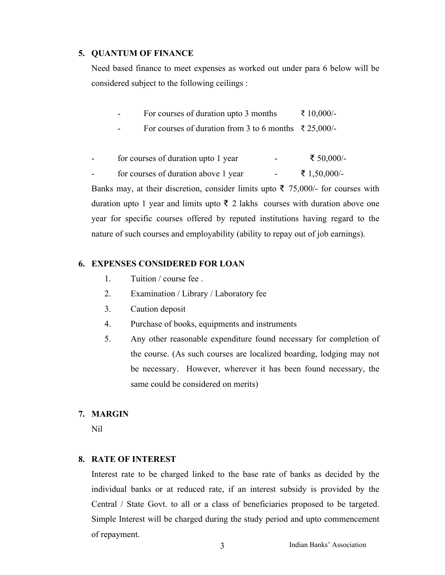### **5. QUANTUM OF FINANCE**

Need based finance to meet expenses as worked out under para 6 below will be considered subject to the following ceilings :

- For courses of duration upto 3 months  $\bar{\tau}$  10,000/-
- For courses of duration from 3 to 6 months  $\bar{\tau}$  25,000/-
- for courses of duration upto 1 year  $\bar{\epsilon}$  50,000/-
- for courses of duration above 1 year  $\bar{\epsilon}$  1,50,000/-

Banks may, at their discretion, consider limits upto ₹ 75,000/- for courses with duration upto 1 year and limits upto ₹ 2 lakhs courses with duration above one year for specific courses offered by reputed institutions having regard to the nature of such courses and employability (ability to repay out of job earnings).

## **6. EXPENSES CONSIDERED FOR LOAN**

- 1. Tuition / course fee .
- 2. Examination / Library / Laboratory fee
- 3. Caution deposit
- 4. Purchase of books, equipments and instruments
- 5. Any other reasonable expenditure found necessary for completion of the course. (As such courses are localized boarding, lodging may not be necessary. However, wherever it has been found necessary, the same could be considered on merits)

#### **7. MARGIN**

Nil

### **8. RATE OF INTEREST**

Interest rate to be charged linked to the base rate of banks as decided by the individual banks or at reduced rate, if an interest subsidy is provided by the Central / State Govt. to all or a class of beneficiaries proposed to be targeted. Simple Interest will be charged during the study period and upto commencement of repayment.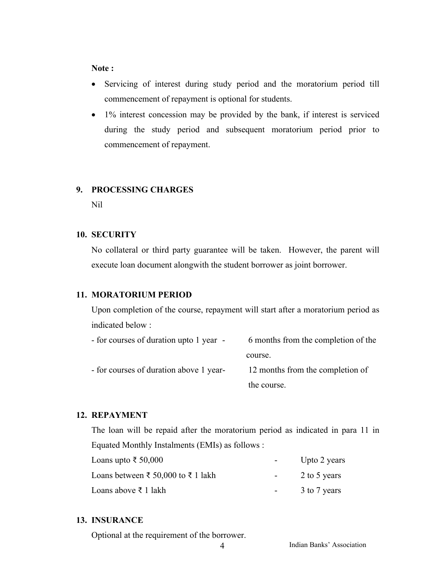## **Note :**

- Servicing of interest during study period and the moratorium period till commencement of repayment is optional for students.
- 1% interest concession may be provided by the bank, if interest is serviced during the study period and subsequent moratorium period prior to commencement of repayment.

#### **9. PROCESSING CHARGES**

Nil

### **10. SECURITY**

No collateral or third party guarantee will be taken. However, the parent will execute loan document alongwith the student borrower as joint borrower.

#### **11. MORATORIUM PERIOD**

Upon completion of the course, repayment will start after a moratorium period as indicated below :

| - for courses of duration upto 1 year - | 6 months from the completion of the |
|-----------------------------------------|-------------------------------------|
|                                         | course.                             |
| - for courses of duration above 1 year- | 12 months from the completion of    |
|                                         | the course.                         |

## **12. REPAYMENT**

The loan will be repaid after the moratorium period as indicated in para 11 in Equated Monthly Instalments (EMIs) as follows :

| Loans upto ₹ 50,000                |                  | Upto 2 years |
|------------------------------------|------------------|--------------|
| Loans between ₹ 50,000 to ₹ 1 lakh | $\sim$ 100 $\mu$ | 2 to 5 years |
| Loans above ₹ 1 lakh               |                  | 3 to 7 years |

## **13. INSURANCE**

Optional at the requirement of the borrower.